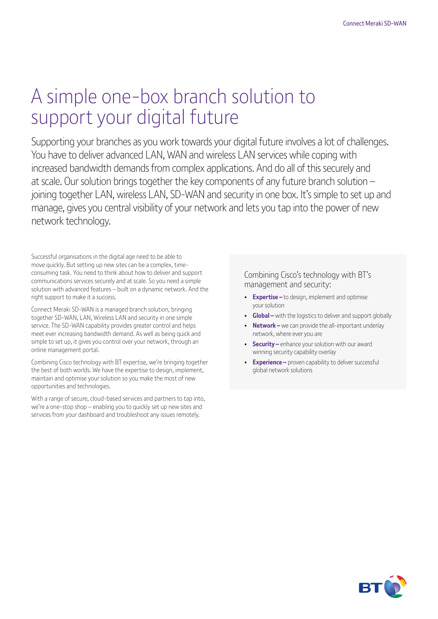# A simple one-box branch solution to support your digital future

Supporting your branches as you work towards your digital future involves a lot of challenges. You have to deliver advanced LAN, WAN and wireless LAN services while coping with increased bandwidth demands from complex applications. And do all of this securely and at scale. Our solution brings together the key components of any future branch solution – joining together LAN, wireless LAN, SD-WAN and security in one box. It's simple to set up and manage, gives you central visibility of your network and lets you tap into the power of new network technology.

Successful organisations in the digital age need to be able to move quickly. But setting up new sites can be a complex, timeconsuming task. You need to think about how to deliver and support communications services securely and at scale. So you need a simple solution with advanced features – built on a dynamic network. And the right support to make it a success.

Connect Meraki SD-WAN is a managed branch solution, bringing together SD-WAN, LAN, Wireless LAN and security in one simple service. The SD-WAN capability provides greater control and helps meet ever increasing bandwidth demand. As well as being quick and simple to set up, it gives you control over your network, through an online management portal.

Combining Cisco technology with BT expertise, we're bringing together the best of both worlds. We have the expertise to design, implement, maintain and optimise your solution so you make the most of new opportunities and technologies.

With a range of secure, cloud-based services and partners to tap into, we're a one-stop shop – enabling you to quickly set up new sites and services from your dashboard and troubleshoot any issues remotely.

Combining Cisco's technology with BT's management and security:

- **Expertise –** to design, implement and optimise your solution
- **Global –** with the logistics to deliver and support globally
- **Network –** we can provide the all-important underlay network, where ever you are
- **Security –** enhance your solution with our award winning security capability overlay
- **Experience –** proven capability to deliver successful global network solutions